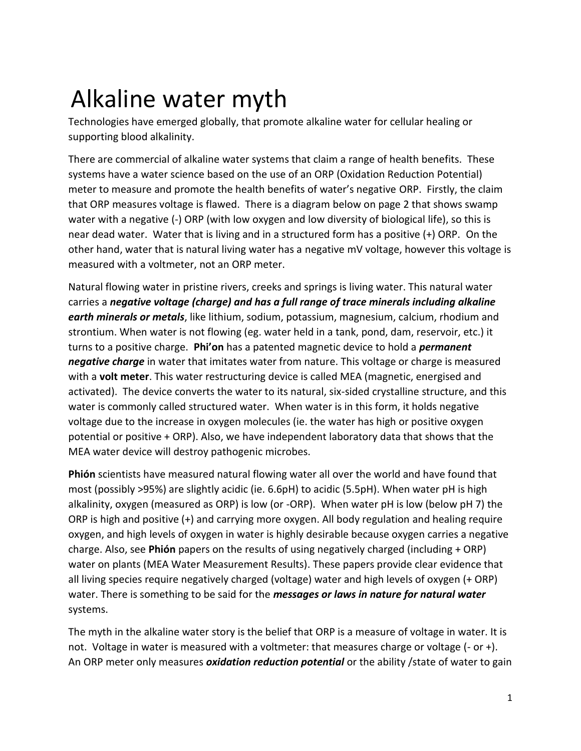## Alkaline water myth

Technologies have emerged globally, that promote alkaline water for cellular healing or supporting blood alkalinity.

There are commercial of alkaline water systems that claim a range of health benefits. These systems have a water science based on the use of an ORP (Oxidation Reduction Potential) meter to measure and promote the health benefits of water's negative ORP. Firstly, the claim that ORP measures voltage is flawed. There is a diagram below on page 2 that shows swamp water with a negative (-) ORP (with low oxygen and low diversity of biological life), so this is near dead water. Water that is living and in a structured form has a positive (+) ORP. On the other hand, water that is natural living water has a negative mV voltage, however this voltage is measured with a voltmeter, not an ORP meter.

Natural flowing water in pristine rivers, creeks and springs is living water. This natural water carries a *negative voltage (charge) and has a full range of trace minerals including alkaline earth minerals or metals*, like lithium, sodium, potassium, magnesium, calcium, rhodium and strontium. When water is not flowing (eg. water held in a tank, pond, dam, reservoir, etc.) it turns to a positive charge. **Phi'on** has a patented magnetic device to hold a *permanent negative charge* in water that imitates water from nature. This voltage or charge is measured with a **volt meter**. This water restructuring device is called MEA (magnetic, energised and activated). The device converts the water to its natural, six-sided crystalline structure, and this water is commonly called structured water. When water is in this form, it holds negative voltage due to the increase in oxygen molecules (ie. the water has high or positive oxygen potential or positive + ORP). Also, we have independent laboratory data that shows that the MEA water device will destroy pathogenic microbes.

**Phión** scientists have measured natural flowing water all over the world and have found that most (possibly >95%) are slightly acidic (ie. 6.6pH) to acidic (5.5pH). When water pH is high alkalinity, oxygen (measured as ORP) is low (or -ORP). When water pH is low (below pH 7) the ORP is high and positive (+) and carrying more oxygen. All body regulation and healing require oxygen, and high levels of oxygen in water is highly desirable because oxygen carries a negative charge. Also, see **Phión** papers on the results of using negatively charged (including + ORP) water on plants (MEA Water Measurement Results). These papers provide clear evidence that all living species require negatively charged (voltage) water and high levels of oxygen (+ ORP) water. There is something to be said for the *messages or laws in nature for natural water*  systems.

The myth in the alkaline water story is the belief that ORP is a measure of voltage in water. It is not. Voltage in water is measured with a voltmeter: that measures charge or voltage (- or +). An ORP meter only measures *oxidation reduction potential* or the ability /state of water to gain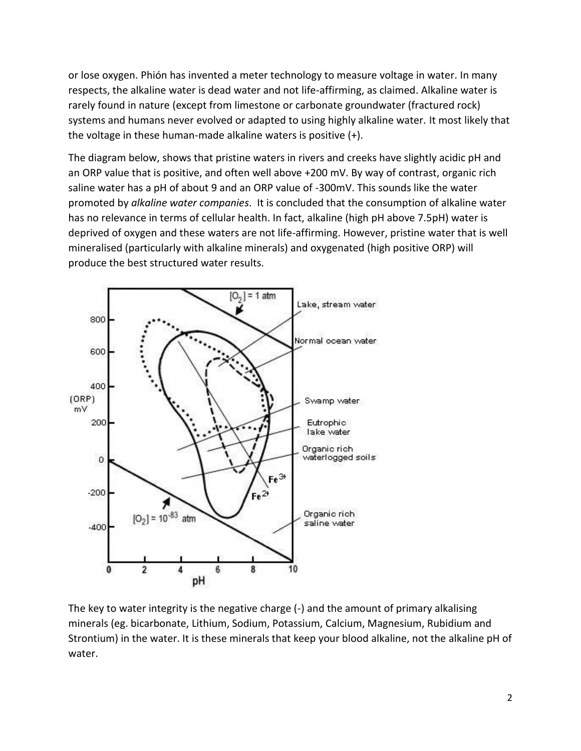or lose oxygen. Phión has invented a meter technology to measure voltage in water. In many respects, the alkaline water is dead water and not life-affirming, as claimed. Alkaline water is rarely found in nature (except from limestone or carbonate groundwater (fractured rock) systems and humans never evolved or adapted to using highly alkaline water. It most likely that the voltage in these human-made alkaline waters is positive (+).

The diagram below, shows that pristine waters in rivers and creeks have slightly acidic pH and an ORP value that is positive, and often well above +200 mV. By way of contrast, organic rich saline water has a pH of about 9 and an ORP value of -300mV. This sounds like the water promoted by *alkaline water companies*. It is concluded that the consumption of alkaline water has no relevance in terms of cellular health. In fact, alkaline (high pH above 7.5pH) water is deprived of oxygen and these waters are not life-affirming. However, pristine water that is well mineralised (particularly with alkaline minerals) and oxygenated (high positive ORP) will produce the best structured water results.



The key to water integrity is the negative charge (-) and the amount of primary alkalising minerals (eg. bicarbonate, Lithium, Sodium, Potassium, Calcium, Magnesium, Rubidium and Strontium) in the water. It is these minerals that keep your blood alkaline, not the alkaline pH of water.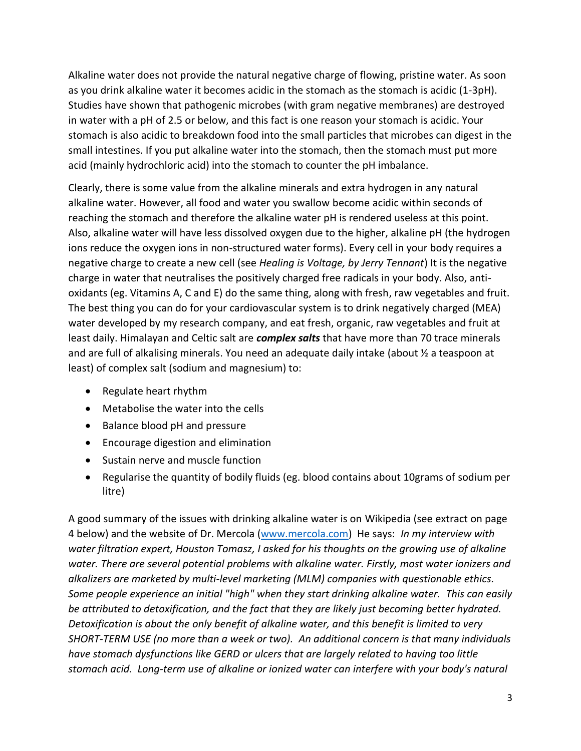Alkaline water does not provide the natural negative charge of flowing, pristine water. As soon as you drink alkaline water it becomes acidic in the stomach as the stomach is acidic (1-3pH). Studies have shown that pathogenic microbes (with gram negative membranes) are destroyed in water with a pH of 2.5 or below, and this fact is one reason your stomach is acidic. Your stomach is also acidic to breakdown food into the small particles that microbes can digest in the small intestines. If you put alkaline water into the stomach, then the stomach must put more acid (mainly hydrochloric acid) into the stomach to counter the pH imbalance.

Clearly, there is some value from the alkaline minerals and extra hydrogen in any natural alkaline water. However, all food and water you swallow become acidic within seconds of reaching the stomach and therefore the alkaline water pH is rendered useless at this point. Also, alkaline water will have less dissolved oxygen due to the higher, alkaline pH (the hydrogen ions reduce the oxygen ions in non-structured water forms). Every cell in your body requires a negative charge to create a new cell (see *Healing is Voltage, by Jerry Tennant*) It is the negative charge in water that neutralises the positively charged free radicals in your body. Also, antioxidants (eg. Vitamins A, C and E) do the same thing, along with fresh, raw vegetables and fruit. The best thing you can do for your cardiovascular system is to drink negatively charged (MEA) water developed by my research company, and eat fresh, organic, raw vegetables and fruit at least daily. Himalayan and Celtic salt are *complex salts* that have more than 70 trace minerals and are full of alkalising minerals. You need an adequate daily intake (about ½ a teaspoon at least) of complex salt (sodium and magnesium) to:

- Regulate heart rhythm
- Metabolise the water into the cells
- Balance blood pH and pressure
- Encourage digestion and elimination
- Sustain nerve and muscle function
- Regularise the quantity of bodily fluids (eg. blood contains about 10grams of sodium per litre)

A good summary of the issues with drinking alkaline water is on Wikipedia (see extract on page 4 below) and the website of Dr. Mercola [\(www.mercola.com\)](http://www.mercola.com/) He says: *In [my interview with](http://articles.mercola.com/sites/articles/archive/2010/09/11/alkaline-water-interview.aspx)  [water filtration expert, Houston Tomasz,](http://articles.mercola.com/sites/articles/archive/2010/09/11/alkaline-water-interview.aspx) I asked for his thoughts on the growing use of alkaline water. There are several potential problems with alkaline water. Firstly, most water ionizers and alkalizers are marketed by multi-level marketing (MLM) companies with questionable ethics. Some people experience an initial "high" when they start drinking alkaline water. This can easily be attributed to detoxification, and the fact that they are likely just becoming better hydrated. Detoxification is about the only benefit of alkaline water, and this benefit is limited to very SHORT-TERM USE (no more than a week or two). An additional concern is that many individuals have stomach dysfunctions like GERD or ulcers that are largely related to having too little stomach acid. Long-term use of alkaline or ionized water can interfere with your body's natural*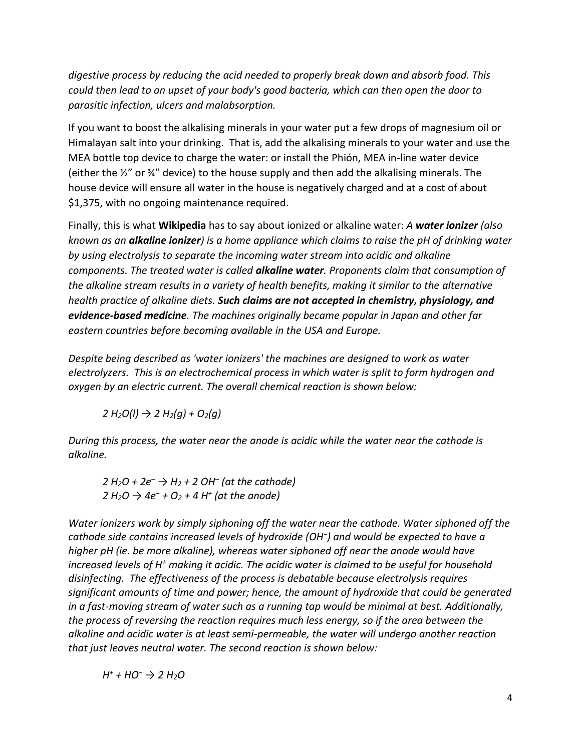*digestive process by reducing the acid needed to properly break down and absorb food. This could then lead to an upset of your body's good bacteria, which can then open the door to parasitic infection, ulcers and malabsorption.* 

If you want to boost the alkalising minerals in your water put a few drops of magnesium oil or Himalayan salt into your drinking. That is, add the alkalising minerals to your water and use the MEA bottle top device to charge the water: or install the Phión, MEA in-line water device (either the  $\frac{1}{2}$ " or  $\frac{1}{2}$ " device) to the house supply and then add the alkalising minerals. The house device will ensure all water in the house is negatively charged and at a cost of about \$1,375, with no ongoing maintenance required.

Finally, this is what **Wikipedia** has to say about ionized or alkaline water: *A water ionizer (also known as an alkaline ionizer) is a [home appliance](https://en.wikipedia.org/wiki/Home_appliance) which claims to raise the [pH](https://en.wikipedia.org/wiki/PH) of drinking water by using [electrolysis](https://en.wikipedia.org/wiki/Electrolysis) to separate the incoming water stream into acidic and alkaline components. The treated water is called alkaline water. Proponents claim that consumption of the alkaline stream results in a variety of health benefits, making it similar to the [alternative](https://en.wikipedia.org/wiki/Alternative_medicine)  [health](https://en.wikipedia.org/wiki/Alternative_medicine) practice of [alkaline diets.](https://en.wikipedia.org/wiki/Alkaline_diet) Such claims are not accepted in [chemistry,](https://en.wikipedia.org/wiki/Chemistry) [physiology,](https://en.wikipedia.org/wiki/Physiology) and [evidence-based medicine](https://en.wikipedia.org/wiki/Evidence-based_medicine). The machines originally became popular in [Japan](https://en.wikipedia.org/wiki/Japan) and other far eastern countries before becoming available in the [USA](https://en.wikipedia.org/wiki/United_States) and Europe.* 

*Despite being described as 'water ionizers' the machines are designed to work as [water](https://en.wikipedia.org/wiki/Electrolysis_of_water)  [electrolyzers.](https://en.wikipedia.org/wiki/Electrolysis_of_water) This is a[n electrochemical](https://en.wikipedia.org/wiki/Electrochemical) process in which water is split to form hydrogen and oxygen by an electric current. The overall chemical reaction is shown below:* 

*2 H2O(l) → 2 H2(g) + O2(g)* 

*During this process, the water near the [anode](https://en.wikipedia.org/wiki/Anode) is acidic while the water near the [cathode](https://en.wikipedia.org/wiki/Cathode) is alkaline.* 

*2 H2O + 2e– → H2 + 2 OH– (at the cathode) 2 H2O → 4e<sup>−</sup> + O2 + 4 H<sup>+</sup> (at the anode)* 

*Water ionizers work by simply siphoning off the water near the cathode. Water siphoned off the cathode side contains increased levels of [hydroxide](https://en.wikipedia.org/wiki/Hydroxide) (OH<sup>−</sup> ) and would be expected to have a higher [pH](https://en.wikipedia.org/wiki/PH) (ie. be more alkaline), whereas water siphoned off near the anode would have*  increased levels of H<sup>+</sup> making it acidic. The acidic water is claimed to be useful for household *disinfecting. The effectiveness of the process is debatable because electrolysis requires significant amounts of time and power; hence, the amount of hydroxide that could be generated in a fast-moving stream of water such as a running tap would be minimal at best. Additionally, the process of reversing the reaction requires much less energy, so if the area between the alkaline and acidic water is at least semi-permeable, the water will undergo another reaction that just leaves neutral water. The second reaction is shown below:* 

*H + + HO<sup>−</sup> → 2 H2O*